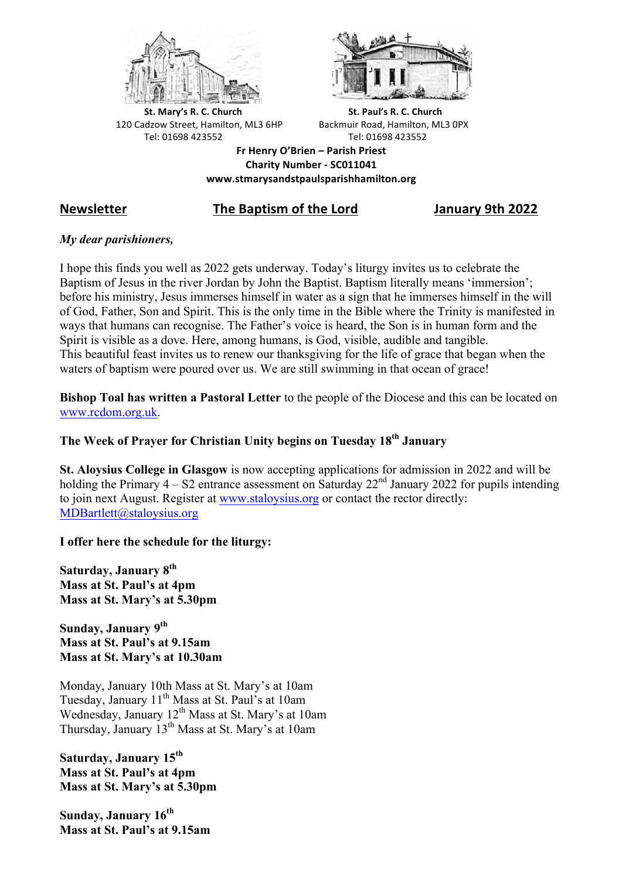



**St.** Mary's R. C. Church St. Paul's R. C. Church 120 Cadzow Street, Hamilton, ML3 6HP Backmuir Road, Hamilton, ML3 0PX Tel: 01698 423552 Tel: 01698 423552

**Fr Henry O'Brien – Parish Priest Charity Number - SC011041 www.stmarysandstpaulsparishhamilton.org**

## **Newsletter The Baptism of the Lord January 9th 2022**

## *My dear parishioners,*

I hope this finds you well as 2022 gets underway. Today's liturgy invites us to celebrate the Baptism of Jesus in the river Jordan by John the Baptist. Baptism literally means 'immersion'; before his ministry, Jesus immerses himself in water as a sign that he immerses himself in the will of God, Father, Son and Spirit. This is the only time in the Bible where the Trinity is manifested in ways that humans can recognise. The Father's voice is heard, the Son is in human form and the Spirit is visible as a dove. Here, among humans, is God, visible, audible and tangible. This beautiful feast invites us to renew our thanksgiving for the life of grace that began when the waters of baptism were poured over us. We are still swimming in that ocean of grace!

**Bishop Toal has written a Pastoral Letter** to the people of the Diocese and this can be located on www.rcdom.org.uk.

# **The Week of Prayer for Christian Unity begins on Tuesday 18th January**

**St. Aloysius College in Glasgow** is now accepting applications for admission in 2022 and will be holding the Primary  $4 - S2$  entrance assessment on Saturday  $22<sup>nd</sup>$  January 2022 for pupils intending to join next August. Register at www.staloysius.org or contact the rector directly: MDBartlett@staloysius.org

## **I offer here the schedule for the liturgy:**

**Saturday, January 8th Mass at St. Paul's at 4pm Mass at St. Mary's at 5.30pm**

**Sunday, January 9th Mass at St. Paul's at 9.15am Mass at St. Mary's at 10.30am**

Monday, January 10th Mass at St. Mary's at 10am Tuesday, January 11<sup>th</sup> Mass at St. Paul's at 10am Wednesday, January 12<sup>th</sup> Mass at St. Mary's at 10am Thursday, January 13th Mass at St. Mary's at 10am

**Saturday, January 15th Mass at St. Paul's at 4pm Mass at St. Mary's at 5.30pm**

**Sunday, January 16th Mass at St. Paul's at 9.15am**